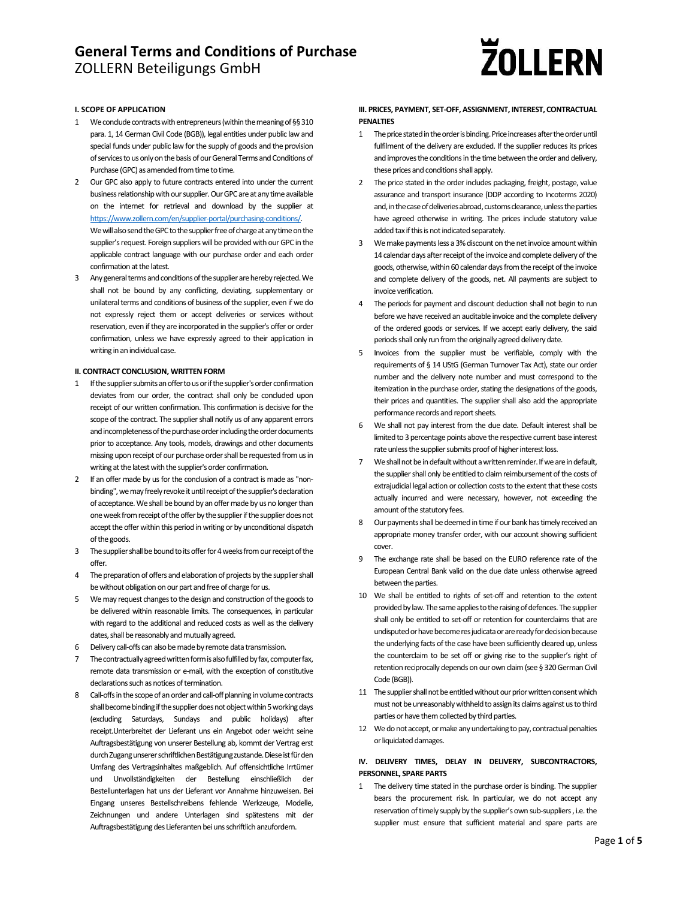# **ZOLLERN**

## **I. SCOPE OF APPLICATION**

- 1 We conclude contracts with entrepreneurs (within the meaning of §§310 para. 1, 14 German Civil Code (BGB)), legal entities under public law and special funds under public law for the supply of goods and the provision of services to us only on the basis of our General Terms and Conditions of Purchase (GPC) as amended from time to time.
- 2 Our GPC also apply to future contracts entered into under the current business relationship with our supplier. Our GPC are at any time available on the internet for retrieval and download by the supplier at https://www.zollern.com/en/supplier-portal/purchasing-conditions/. We will also send the GPC to the supplier free of charge at any time on the supplier's request. Foreign suppliers will be provided with our GPC in the applicable contract language with our purchase order and each order confirmation at the latest.
- 3 Any general terms and conditions of the supplier are hereby rejected. We shall not be bound by any conflicting, deviating, supplementary or unilateral terms and conditions of business of the supplier, even if we do not expressly reject them or accept deliveries or services without reservation, even if they are incorporated in the supplier's offer or order confirmation, unless we have expressly agreed to their application in writing in an individual case.

#### **II. CONTRACT CONCLUSION, WRITTEN FORM**

- 1 If the supplier submits an offer to us or if the supplier's order confirmation deviates from our order, the contract shall only be concluded upon receipt of our written confirmation. This confirmation is decisive for the scope of the contract. The supplier shall notify us of any apparent errors and incompleteness of the purchase order including the order documents prior to acceptance. Any tools, models, drawings and other documents missing upon receipt of our purchase order shall be requested from us in writing at the latest with the supplier's order confirmation.
- 2 If an offer made by us for the conclusion of a contract is made as "nonbinding", we may freely revoke it until receipt of the supplier's declaration of acceptance.We shall be bound by an offermade by us no longerthan one week from receipt of the offer by the supplier if the supplier does not accept the offer within this period in writing or by unconditional dispatch of the goods.
- 3 The supplier shall be bound to its offer for 4 weeks from our receipt of the offer.
- 4 The preparation of offers and elaboration of projects by the supplier shall be without obligation on our part and free of charge for us.
- 5 We may request changes to the design and construction of the goods to be delivered within reasonable limits. The consequences, in particular with regard to the additional and reduced costs as well as the delivery dates, shall be reasonably and mutually agreed.
- 6 Delivery call-offs can also be made by remote data transmission.
- The contractually agreed written form is also fulfilled by fax, computer fax, remote data transmission or e‐mail, with the exception of constitutive declarations such as notices of termination.
- 8 Call-offs in the scope of an order and call-off planning in volume contracts shall become binding if the supplier does not object within 5 working days (excluding Saturdays, Sundays and public holidays) after receipt.Unterbreitet der Lieferant uns ein Angebot oder weicht seine Auftragsbestätigung von unserer Bestellung ab, kommt der Vertrag erst durch Zugang unserer schriftlichen Bestätigung zustande. Diese ist für den Umfang des Vertragsinhaltes maßgeblich. Auf offensichtliche Irrtümer und Unvollständigkeiten der Bestellung einschließlich der Bestellunterlagen hat uns der Lieferant vor Annahme hinzuweisen. Bei Eingang unseres Bestellschreibens fehlende Werkzeuge, Modelle, Zeichnungen und andere Unterlagen sind spätestens mit der Auftragsbestätigung des Lieferanten bei uns schriftlich anzufordern.

### **III. PRICES, PAYMENT, SET‐OFF, ASSIGNMENT, INTEREST, CONTRACTUAL PENALTIES**

- 1 The price stated in the order is binding. Price increases after the order until fulfilment of the delivery are excluded. If the supplier reduces its prices and improves the conditions in the time between the order and delivery, these prices and conditions shall apply.
- 2 The price stated in the order includes packaging, freight, postage, value assurance and transport insurance (DDP according to Incoterms 2020) and, in the case of deliveries abroad, customs clearance, unless the parties have agreed otherwise in writing. The prices include statutory value added tax if this is not indicated separately.
- 3 We make payments less a 3% discount on the net invoice amount within 14 calendar days after receipt of the invoice and complete delivery of the goods, otherwise, within 60 calendar days from the receipt of the invoice and complete delivery of the goods, net. All payments are subject to invoice verification.
- 4 The periods for payment and discount deduction shall not begin to run before we have received an auditable invoice and the complete delivery of the ordered goods or services. If we accept early delivery, the said periods shall only run from the originally agreed delivery date.
- 5 Invoices from the supplier must be verifiable, comply with the requirements of § 14 UStG (German Turnover Tax Act), state our order number and the delivery note number and must correspond to the itemization in the purchase order, stating the designations of the goods, their prices and quantities. The supplier shall also add the appropriate performance records and report sheets.
- 6 We shall not pay interest from the due date. Default interest shall be limited to 3 percentage points above the respective current base interest rate unless the supplier submits proof of higher interest loss.
- 7 We shall not be in default without a written reminder. If we are in default, the supplier shall only be entitled to claim reimbursement of the costs of extrajudicial legal action or collection costs to the extent that these costs actually incurred and were necessary, however, not exceeding the amount of the statutory fees.
- 8 Our payments shall be deemed in time if our bank has timely received an appropriate money transfer order, with our account showing sufficient cover.
- 9 The exchange rate shall be based on the EURO reference rate of the European Central Bank valid on the due date unless otherwise agreed between the parties.
- 10 We shall be entitled to rights of set-off and retention to the extent provided by law. The same applies to the raising of defences. The supplier shall only be entitled to set-off or retention for counterclaims that are undisputed or have become resjudicata or are ready for decision because the underlying facts of the case have been sufficiently cleared up, unless the counterclaim to be set off or giving rise to the supplier's right of retention reciprocally depends on our own claim (see § 320 German Civil Code (BGB)).
- 11 The supplier shall not be entitled without our prior written consent which must not be unreasonably withheld to assign its claims against us to third parties or have them collected by third parties.
- 12 We do not accept, or make any undertaking to pay, contractual penalties or liquidated damages.

## **IV. DELIVERY TIMES, DELAY IN DELIVERY, SUBCONTRACTORS, PERSONNEL, SPARE PARTS**

1 The delivery time stated in the purchase order is binding. The supplier bears the procurement risk. In particular, we do not accept any reservation of timely supply by the supplier's own sub-suppliers, i.e. the supplier must ensure that sufficient material and spare parts are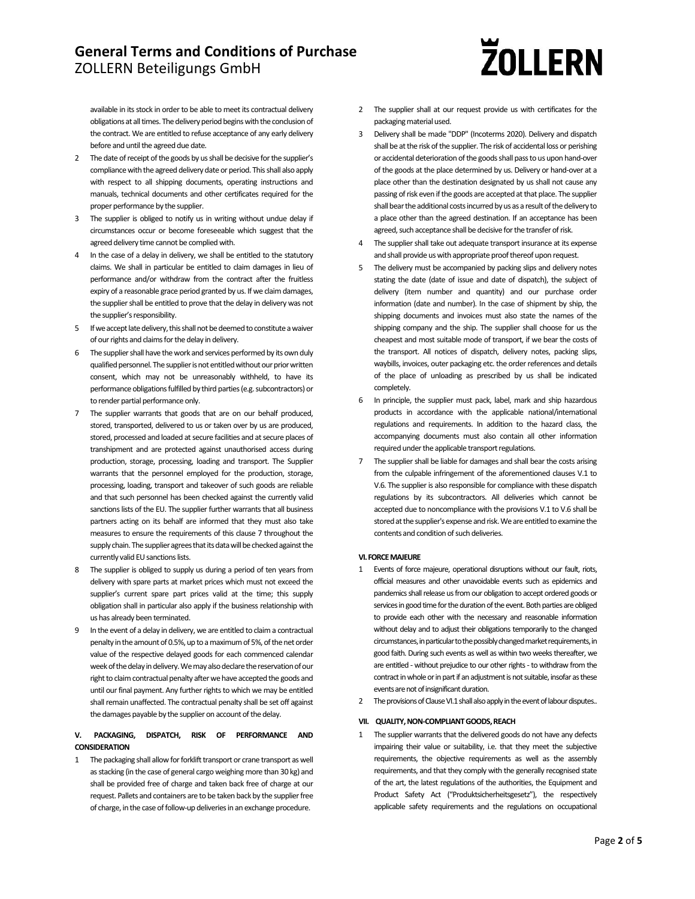# **ZOLLERN**

available in its stock in order to be able to meet its contractual delivery obligations at all times. The delivery period begins with the conclusion of the contract. We are entitled to refuse acceptance of any early delivery before and until the agreed due date.

- 2 The date of receipt of the goods by us shall be decisive for the supplier's compliance with the agreed delivery date or period. This shall also apply with respect to all shipping documents, operating instructions and manuals, technical documents and other certificates required for the proper performance by the supplier.
- 3 The supplier is obliged to notify us in writing without undue delay if circumstances occur or become foreseeable which suggest that the agreed delivery time cannot be complied with.
- 4 In the case of a delay in delivery, we shall be entitled to the statutory claims. We shall in particular be entitled to claim damages in lieu of performance and/or withdraw from the contract after the fruitless expiry of a reasonable grace period granted by us. If we claim damages, the supplier shall be entitled to prove that the delay in delivery was not the supplier's responsibility.
- 5 If we accept late delivery, this shall not be deemed to constitute a waiver of our rights and claims for the delay in delivery.
- 6 The supplier shall have the work and services performed by its own duly qualified personnel. The supplier is not entitled without our prior written consent, which may not be unreasonably withheld, to have its performance obligations fulfilled by third parties (e.g. subcontractors) or to render partial performance only.
- The supplier warrants that goods that are on our behalf produced, stored, transported, delivered to us or taken over by us are produced, stored, processed and loaded at secure facilities and at secure places of transhipment and are protected against unauthorised access during production, storage, processing, loading and transport. The Supplier warrants that the personnel employed for the production, storage, processing, loading, transport and takeover of such goods are reliable and that such personnel has been checked against the currently valid sanctions lists of the EU. The supplier further warrants that all business partners acting on its behalf are informed that they must also take measures to ensure the requirements of this clause 7 throughout the supply chain. The supplier agrees that its data will be checked against the currently valid EU sanctions lists.
- 8 The supplier is obliged to supply us during a period of ten years from delivery with spare parts at market prices which must not exceed the supplier's current spare part prices valid at the time; this supply obligation shall in particular also apply if the business relationship with us has already been terminated.
- 9 In the event of a delay in delivery, we are entitled to claim a contractual penalty in the amount of 0.5%, up to a maximum of 5%, of the net order value of the respective delayed goods for each commenced calendar week of the delay in delivery. We may also declare the reservation of our right to claim contractual penalty after we have accepted the goods and until our final payment. Any further rights to which we may be entitled shall remain unaffected. The contractual penalty shall be set off against the damages payable by the supplier on account of the delay.

## **V. PACKAGING, DISPATCH, RISK OF PERFORMANCE AND CONSIDERATION**

1 The packaging shall allow for forklift transport or crane transport as well as stacking (in the case of general cargo weighing more than 30 kg) and shall be provided free of charge and taken back free of charge at our request. Pallets and containers are to be taken back by the supplier free of charge, in the case of follow-up deliveries in an exchange procedure.

- 2 The supplier shall at our request provide us with certificates for the packaging material used.
- 3 Delivery shall be made "DDP" (Incoterms 2020). Delivery and dispatch shall be at the risk of the supplier. The risk of accidental loss or perishing or accidental deterioration of the goods shall pass to us upon hand-over of the goods at the place determined by us. Delivery or hand‐over at a place other than the destination designated by us shall not cause any passing of risk even if the goods are accepted at that place. The supplier shall bear the additional costs incurred by us as a result of the delivery to a place other than the agreed destination. If an acceptance has been agreed, such acceptance shall be decisive for the transfer of risk.
- 4 The supplier shall take out adequate transport insurance at its expense and shall provide us with appropriate proof thereof upon request.
- 5 The delivery must be accompanied by packing slips and delivery notes stating the date (date of issue and date of dispatch), the subject of delivery (item number and quantity) and our purchase order information (date and number). In the case of shipment by ship, the shipping documents and invoices must also state the names of the shipping company and the ship. The supplier shall choose for us the cheapest and most suitable mode of transport, if we bear the costs of the transport. All notices of dispatch, delivery notes, packing slips, waybills, invoices, outer packaging etc. the order references and details of the place of unloading as prescribed by us shall be indicated completely.
- 6 In principle, the supplier must pack, label, mark and ship hazardous products in accordance with the applicable national/international regulations and requirements. In addition to the hazard class, the accompanying documents must also contain all other information required under the applicable transport regulations.
- 7 The supplier shall be liable for damages and shall bear the costs arising from the culpable infringement of the aforementioned clauses V.1 to V.6. The supplier is also responsible for compliance with these dispatch regulations by its subcontractors. All deliveries which cannot be accepted due to noncompliance with the provisions V.1 to V.6 shall be stored at the supplier's expense and risk. We are entitled to examine the contents and condition of such deliveries.

## **VI.FORCEMAJEURE**

- Events of force majeure, operational disruptions without our fault, riots, official measures and other unavoidable events such as epidemics and pandemics shall release us from our obligation to accept ordered goods or services in good time for the duration of the event. Both parties are obliged to provide each other with the necessary and reasonable information without delay and to adjust their obligations temporarily to the changed circumstances, in particular to the possibly changed market requirements, in good faith. During such events as well as within two weeks thereafter, we are entitled - without prejudice to our other rights - to withdraw from the contract in whole or in part if an adjustment is not suitable, insofar as these events are not of insignificant duration.
- 2 The provisions of Clause VI.1 shall also apply in the event of labour disputes..

### **VII.** QUALITY, NON-COMPLIANT GOODS, REACH

1 The supplier warrants that the delivered goods do not have any defects impairing their value or suitability, i.e. that they meet the subjective requirements, the objective requirements as well as the assembly requirements, and that they comply with the generally recognised state of the art, the latest regulations of the authorities, the Equipment and Product Safety Act ("Produktsicherheitsgesetz"), the respectively applicable safety requirements and the regulations on occupational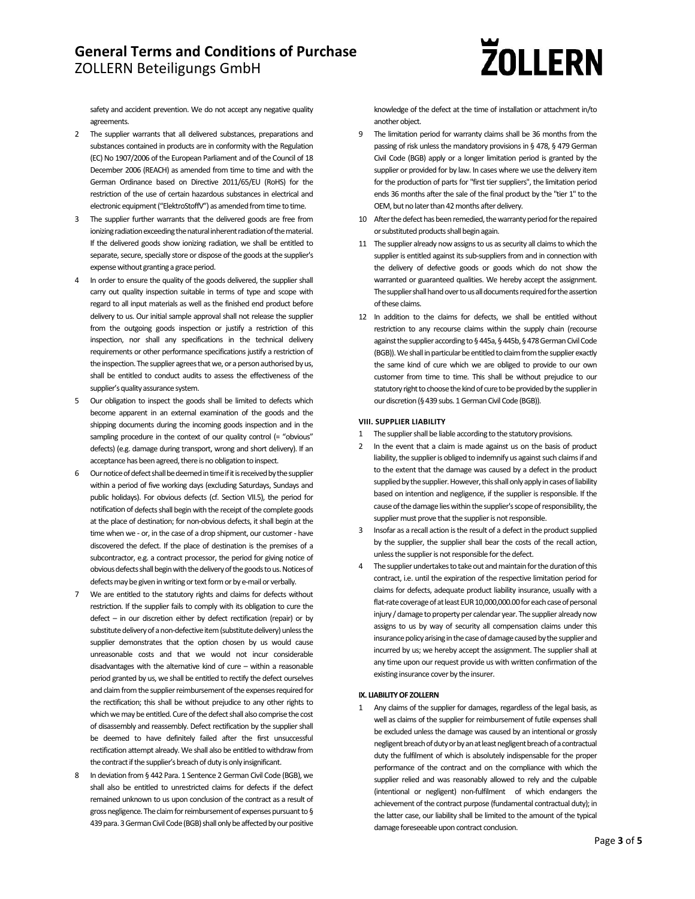# **ZOLLERN**

safety and accident prevention. We do not accept any negative quality agreements.

- 2 The supplier warrants that all delivered substances, preparations and substances contained in products are in conformity with the Regulation (EC) No 1907/2006 of the European Parliament and of the Council of 18 December 2006 (REACH) as amended from time to time and with the German Ordinance based on Directive 2011/65/EU (RoHS) for the restriction of the use of certain hazardous substances in electrical and electronic equipment ("ElektroStoffV") as amended from time to time.
- 3 The supplier further warrants that the delivered goods are free from ionizing radiation exceeding the natural inherent radiation of the material. If the delivered goods show ionizing radiation, we shall be entitled to separate, secure, specially store or dispose of the goods at the supplier's expense without granting a grace period.
- 4 In order to ensure the quality of the goods delivered, the supplier shall carry out quality inspection suitable in terms of type and scope with regard to all input materials as well as the finished end product before delivery to us. Our initial sample approval shall not release the supplier from the outgoing goods inspection or justify a restriction of this inspection, nor shall any specifications in the technical delivery requirements or other performance specifications justify a restriction of the inspection. The supplier agrees that we, or a person authorised by us, shall be entitled to conduct audits to assess the effectiveness of the supplier's quality assurance system.
- 5 Our obligation to inspect the goods shall be limited to defects which become apparent in an external examination of the goods and the shipping documents during the incoming goods inspection and in the sampling procedure in the context of our quality control (= "obvious" defects) (e.g. damage during transport, wrong and short delivery). If an acceptance has been agreed, there is no obligation to inspect.
- 6 Our notice of defect shall be deemed in time if it is received by the supplier within a period of five working days (excluding Saturdays, Sundays and public holidays). For obvious defects (cf. Section VII.5), the period for notification of defects shall begin with the receipt of the complete goods at the place of destination; for non-obvious defects, it shall begin at the time when we - or, in the case of a drop shipment, our customer - have discovered the defect. If the place of destination is the premises of a subcontractor, e.g. a contract processor, the period for giving notice of obvious defects shall begin with the delivery of the goods to us. Notices of defects may be given in writing or text form or by e-mail or verbally.
- 7 We are entitled to the statutory rights and claims for defects without restriction. If the supplier fails to comply with its obligation to cure the defect – in our discretion either by defect rectification (repair) or by substitute delivery of a non-defective item (substitute delivery) unless the supplier demonstrates that the option chosen by us would cause unreasonable costs and that we would not incur considerable disadvantages with the alternative kind of cure – within a reasonable period granted by us, we shall be entitled to rectify the defect ourselves and claim from the supplier reimbursement of the expenses required for the rectification; this shall be without prejudice to any other rights to which we may be entitled. Cure of the defect shall also comprise the cost of disassembly and reassembly. Defect rectification by the supplier shall be deemed to have definitely failed after the first unsuccessful rectification attempt already. We shall also be entitled to withdraw from the contract if the supplier's breach of duty is only insignificant.
- In deviation from § 442 Para. 1 Sentence 2 German Civil Code (BGB), we shall also be entitled to unrestricted claims for defects if the defect remained unknown to us upon conclusion of the contract as a result of gross negligence. The claim for reimbursement of expenses pursuant to § 439 para. 3 German Civil Code (BGB) shall only be affected by our positive

knowledge of the defect at the time of installation or attachment in/to another object.

- 9 The limitation period for warranty claims shall be 36 months from the passing of risk unless the mandatory provisions in § 478, § 479 German Civil Code (BGB) apply or a longer limitation period is granted by the supplier or provided for by law. In cases where we use the delivery item for the production of parts for "first tier suppliers", the limitation period ends 36 months after the sale of the final product by the "tier 1" to the OEM, but no later than 42 months after delivery.
- 10 After the defect has been remedied, the warranty period for the repaired or substituted products shall begin again.
- 11 The supplier already now assigns to us as security all claims to which the supplier is entitled against its sub-suppliers from and in connection with the delivery of defective goods or goods which do not show the warranted or guaranteed qualities. We hereby accept the assignment. The supplier shall hand over to us all documents required for the assertion ofthese claims.
- 12 In addition to the claims for defects, we shall be entitled without restriction to any recourse claims within the supply chain (recourse against the supplier according to §445a, §445b, §478 German Civil Code (BGB)). We shall in particular be entitled to claim from the supplier exactly the same kind of cure which we are obliged to provide to our own customer from time to time. This shall be without prejudice to our statutory right to choose the kind of cure to be provided by the supplier in our discretion (§ 439 subs. 1 German Civil Code (BGB)).

## **VIII. SUPPLIER LIABILITY**

- 1 The supplier shall be liable according to the statutory provisions.
- 2 In the event that a claim is made against us on the basis of product liability, the supplier is obliged to indemnify us against such claims if and to the extent that the damage was caused by a defect in the product supplied by the supplier. However, this shall only apply in cases of liability based on intention and negligence, if the supplier is responsible. If the cause of the damage lies within the supplier's scope of responsibility, the supplier must prove that the supplier is not responsible.
- 3 Insofar as a recall action is the result of a defect in the product supplied by the supplier, the supplier shall bear the costs of the recall action, unless the supplier is not responsible for the defect.
- 4 The supplier undertakes to take out and maintain for the duration of this contract, i.e. until the expiration of the respective limitation period for claims for defects, adequate product liability insurance, usually with a flat-rate coverage of at least EUR 10,000,000.00 for each case of personal injury / damage to property per calendar year. The supplier already now assigns to us by way of security all compensation claims under this insurance policy arising in the case of damage caused by the supplier and incurred by us; we hereby accept the assignment. The supplier shall at any time upon our request provide us with written confirmation of the existing insurance cover by the insurer.

### **IX. LIABILITY OF ZOLLERN**

1 Any claims of the supplier for damages, regardless of the legal basis, as well as claims of the supplier for reimbursement of futile expenses shall be excluded unless the damage was caused by an intentional or grossly negligent breach of duty or by an at least negligent breach of a contractual duty the fulfilment of which is absolutely indispensable for the proper performance of the contract and on the compliance with which the supplier relied and was reasonably allowed to rely and the culpable (intentional or negligent) non‐fulfilment of which endangers the achievement of the contract purpose (fundamental contractual duty); in the latter case, our liability shall be limited to the amount of the typical damage foreseeable upon contract conclusion.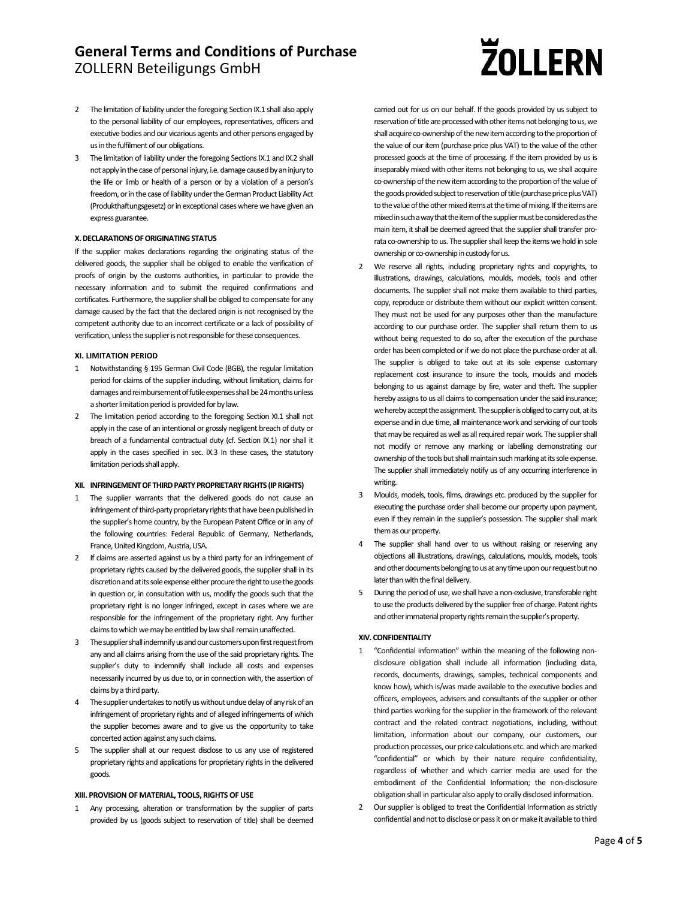## **ZOLLERN**

- 2 The limitation of liability under the foregoing Section IX.1 shall also apply to the personal liability of our employees, representatives, officers and executive bodies and our vicarious agents and other persons engaged by us in the fulfilment of our obligations.
- 3 The limitation of liability under the foregoing Sections IX.1 and IX.2 shall not apply in the case of personal injury, i.e. damage caused by an injury to the life or limb or health of a person or by a violation of a person's freedom, or in the case of liability under the German Product Liability Act (Produkthaftungsgesetz) or in exceptional cases where we have given an express guarantee.

## **X. DECLARATIONS OF ORIGINATING STATUS**

If the supplier makes declarations regarding the originating status of the delivered goods, the supplier shall be obliged to enable the verification of proofs of origin by the customs authorities, in particular to provide the necessary information and to submit the required confirmations and certificates. Furthermore, the supplier shall be obliged to compensate for any damage caused by the fact that the declared origin is not recognised by the competent authority due to an incorrect certificate or a lack of possibility of verification, unless the supplier is not responsible for these consequences.

### **XI. LIMITATION PERIOD**

- 1 Notwithstanding § 195 German Civil Code (BGB), the regular limitation period for claims of the supplier including, without limitation, claims for damages and reimbursement of futile expenses shall be 24 months unless a shorter limitation period is provided for by law.
- 2 The limitation period according to the foregoing Section XI.1 shall not apply in the case of an intentional or grossly negligent breach of duty or breach of a fundamental contractual duty (cf. Section IX.1) nor shall it apply in the cases specified in sec. IX.3 In these cases, the statutory limitation periods shall apply.

### **XII. INFRINGEMENTOF THIRDPARTYPROPRIETARYRIGHTS (IPRIGHTS)**

- 1 The supplier warrants that the delivered goods do not cause an infringement of third-party proprietary rights that have been published in the supplier's home country, by the European Patent Office or in any of the following countries: Federal Republic of Germany, Netherlands, France, United Kingdom, Austria, USA.
- 2 If claims are asserted against us by a third party for an infringement of proprietary rights caused by the delivered goods, the supplier shall in its discretion and at its sole expense either procure the right to use the goods in question or, in consultation with us, modify the goods such that the proprietary right is no longer infringed, except in cases where we are responsible for the infringement of the proprietary right. Any further claims to which we may be entitled by law shall remain unaffected.
- 3 The supplier shall indemnify us and our customers upon first request from any and all claims arising from the use of the said proprietary rights. The supplier's duty to indemnify shall include all costs and expenses necessarily incurred by us due to, or in connection with, the assertion of claims by a third party.
- 4 The supplier undertakes to notify us without undue delay of any risk of an infringement of proprietary rights and of alleged infringements of which the supplier becomes aware and to give us the opportunity to take concerted action against any such claims.
- 5 The supplier shall at our request disclose to us any use of registered proprietary rights and applications for proprietary rights in the delivered goods.

### **XIII. PROVISION OF MATERIAL, TOOLS, RIGHTSOF USE**

Any processing, alteration or transformation by the supplier of parts provided by us (goods subject to reservation of title) shall be deemed carried out for us on our behalf. If the goods provided by us subject to reservation of title are processed with other items not belonging to us, we shall acquire co-ownership of the new item according to the proportion of the value of our item (purchase price plus VAT) to the value of the other processed goods at the time of processing. If the item provided by us is inseparably mixed with other items not belonging to us, we shall acquire co-ownership of the new item according to the proportion of the value of the goods provided subject to reservation of title (purchase price plus VAT) to the value of the other mixed items at the time of mixing. If the items are mixed in such a way that the item of the supplier must be considered as the main item, it shall be deemed agreed that the supplier shall transfer prorata co-ownership to us. The supplier shall keep the items we hold in sole ownership or co-ownership in custody for us.

- 2 We reserve all rights, including proprietary rights and copyrights, to illustrations, drawings, calculations, moulds, models, tools and other documents. The supplier shall not make them available to third parties, copy, reproduce or distribute them without our explicit written consent. They must not be used for any purposes other than the manufacture according to our purchase order. The supplier shall return them to us without being requested to do so, after the execution of the purchase order has been completed or if we do not place the purchase order at all. The supplier is obliged to take out at its sole expense customary replacement cost insurance to insure the tools, moulds and models belonging to us against damage by fire, water and theft. The supplier hereby assigns to us all claims to compensation under the said insurance: we hereby accept the assignment. The supplier is obliged to carry out, at its expense and in due time, all maintenance work and servicing of our tools that may be required as well as all required repair work. The supplier shall not modify or remove any marking or labelling demonstrating our ownership of the tools but shall maintain such marking at its sole expense. The supplier shall immediately notify us of any occurring interference in writing.
- 3 Moulds, models, tools, films, drawings etc. produced by the supplier for executing the purchase order shall become our property upon payment, even if they remain in the supplier's possession. The supplier shall mark them as our property.
- 4 The supplier shall hand over to us without raising or reserving any objections all illustrations, drawings, calculations, moulds, models, tools and other documents belonging to us at any time upon our request but no later than with the final delivery
- 5 During the period of use, we shall have a non-exclusive, transferable right to use the products delivered by the supplier free of charge. Patent rights and other immaterial property rights remain the supplier's property.

### **XIV. CONFIDENTIALITY**

- 1 "Confidential information" within the meaning of the following nondisclosure obligation shall include all information (including data, records, documents, drawings, samples, technical components and know how), which is/was made available to the executive bodies and officers, employees, advisers and consultants of the supplier or other third parties working for the supplier in the framework of the relevant contract and the related contract negotiations, including, without limitation, information about our company, our customers, our production processes, our price calculations etc. andwhich aremarked "confidential" or which by their nature require confidentiality, regardless of whether and which carrier media are used for the embodiment of the Confidential Information; the non-disclosure obligation shall in particular also apply to orally disclosed information.
- 2 Our supplier is obliged to treat the Confidential Information as strictly confidential and not to disclose or pass it on or make it available to third